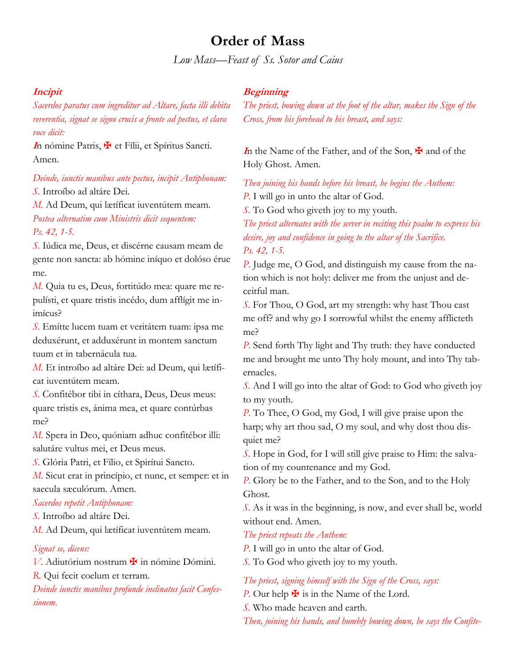# **Order of Mass**

*Low Mass—Feast of Ss. Sotor and Caius*

### **Incipit**

*Sacerdos paratus cum ingreditur ad Altare, facta illi debita reverentia, signat se signo crucis a fronte ad pectus, et clara voce dicit:*

**<sup>I</sup>**n nómine Patris, ✠ et Fílii, et Spíritus Sancti. Amen.

*Deinde, iunctis manibus ante pectus, incipit Antiphonam:*

*S.* Introíbo ad altáre Dei.

*M.* Ad Deum, qui lætíficat iuventútem meam. *Postea alternatim cum Ministris dicit sequentem: Ps. 42, 1-5.*

*S.* Iúdica me, Deus, et discérne causam meam de gente non sancta: ab hómine iníquo et dolóso érue me.

*M.* Quia tu es, Deus, fortitúdo mea: quare me repulísti, et quare tristis incédo, dum afflígit me inimícus?

*S.* Emítte lucem tuam et veritátem tuam: ipsa me deduxérunt, et adduxérunt in montem sanctum tuum et in tabernácula tua.

*M.* Et introíbo ad altáre Dei: ad Deum, qui lætíficat iuventútem meam.

*S.* Confitébor tibi in cíthara, Deus, Deus meus: quare tristis es, ánima mea, et quare contúrbas me?

*M.* Spera in Deo, quóniam adhuc confitébor illi: salutáre vultus mei, et Deus meus.

*S.* Glória Patri, et Fílio, et Spirítui Sancto.

*M.* Sicut erat in princípio, et nunc, et semper: et in saecula sæculórum. Amen.

#### *Sacerdos repetit Antiphonam:*

*S.* Introíbo ad altáre Dei.

*M.* Ad Deum, qui lætíficat iuventútem meam.

#### *Signat se, dicens:*

*V*. Adiutórium nostrum in nómine Dómini.

*R.* Qui fecit coelum et terram.

*Deinde iunctis manibus profunde inclinatus facit Confessionem.*

### **Beginning**

*The priest, bowing down at the foot of the altar, makes the Sign of the Cross, from his forehead to his breast, and says:*

**I**n the Name of the Father, and of the Son, **★** and of the Holy Ghost. Amen.

*Then joining his hands before his breast, he begins the Anthem: P.* I will go in unto the altar of God.

*S.* To God who giveth joy to my youth.

*The priest alternates with the server in reciting this psalm to express his desire, joy and confidence in going to the altar of the Sacrifice. Ps. 42, 1-5.*

*P.* Judge me, O God, and distinguish my cause from the nation which is not holy: deliver me from the unjust and deceitful man.

*S.* For Thou, O God, art my strength: why hast Thou cast me off? and why go I sorrowful whilst the enemy afflicteth me?

*P.* Send forth Thy light and Thy truth: they have conducted me and brought me unto Thy holy mount, and into Thy tabernacles.

*S.* And I will go into the altar of God: to God who giveth joy to my youth.

*P.* To Thee, O God, my God, I will give praise upon the harp; why art thou sad, O my soul, and why dost thou disquiet me?

*S.* Hope in God, for I will still give praise to Him: the salvation of my countenance and my God.

*P.* Glory be to the Father, and to the Son, and to the Holy Ghost.

*S.* As it was in the beginning, is now, and ever shall be, world without end. Amen.

#### *The priest repeats the Anthem:*

*P.* I will go in unto the altar of God.

*S.* To God who giveth joy to my youth.

*The priest, signing himself with the Sign of the Cross, says:*

*P.* Our help  $\bigstar$  is in the Name of the Lord.

*S.* Who made heaven and earth.

*Then, joining his hands, and humbly bowing down, he says the Confite-*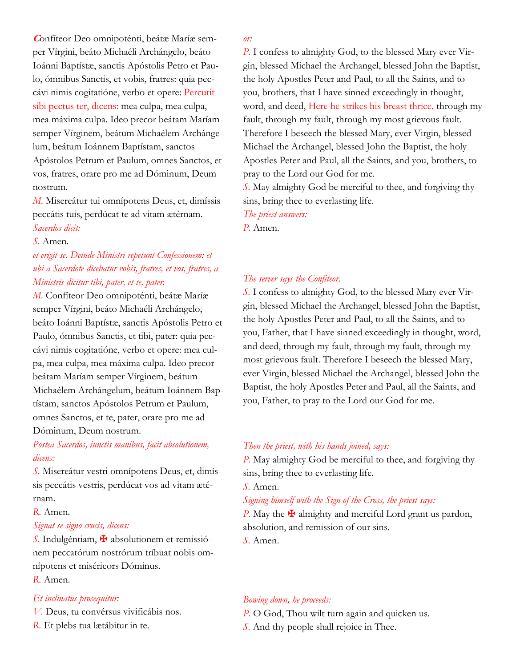**C**onfíteor Deo omnipoténti, beátæ Maríæ semper Vírgini, beáto Michaéli Archángelo, beáto Ioánni Baptístæ, sanctis Apóstolis Petro et Paulo, ómnibus Sanctis, et vobis, fratres: quia peccávi nimis cogitatióne, verbo et opere: Percutit sibi pectus ter, dicens: mea culpa, mea culpa, mea máxima culpa. Ideo precor beátam Maríam semper Vírginem, beátum Michaélem Archángelum, beátum Ioánnem Baptístam, sanctos Apóstolos Petrum et Paulum, omnes Sanctos, et vos, fratres, orare pro me ad Dóminum, Deum nostrum.

*M.* Misereátur tui omnípotens Deus, et, dimíssis peccátis tuis, perdúcat te ad vitam ætérnam. *Sacerdos dicit:*

#### *S.* Amen.

## *et erigit se. Deinde Ministri repetunt Confessionem: et ubi a Sacerdote dicebatur vobis, fratres, et vos, fratres, a Ministris dicitur tibi, pater, et te, pater.*

*M.* Confíteor Deo omnipoténti, beátæ Maríæ semper Vírgini, beáto Michaéli Archángelo, beáto Ioánni Baptístæ, sanctis Apóstolis Petro et Paulo, ómnibus Sanctis, et tibi, pater: quia peccávi nimis cogitatióne, verbo et opere: mea culpa, mea culpa, mea máxima culpa. Ideo precor beátam Maríam semper Vírginem, beátum Michaélem Archángelum, beátum Ioánnem Baptístam, sanctos Apóstolos Petrum et Paulum, omnes Sanctos, et te, pater, orare pro me ad

Dóminum, Deum nostrum.

## *Postea Sacerdos, iunctis manibus, facit absolutionem, dicens:*

*S.* Misereátur vestri omnípotens Deus, et, dimíssis peccátis vestris, perdúcat vos ad vitam ætérnam.

#### *R.* Amen.

#### *Signat se signo crucis, dicens:*

*S.* Indulgéntiam, ✠ absolutionem et remissiónem peccatórum nostrórum tríbuat nobis omnípotens et miséricors Dóminus.

*R.* Amen.

#### *Et inclinatus prosequitur:*

*V.* Deus, tu convérsus vivificábis nos.

*R.* Et plebs tua lætábitur in te.

#### *or:*

*P.* I confess to almighty God, to the blessed Mary ever Virgin, blessed Michael the Archangel, blessed John the Baptist, the holy Apostles Peter and Paul, to all the Saints, and to you, brothers, that I have sinned exceedingly in thought, word, and deed, Here he strikes his breast thrice. through my fault, through my fault, through my most grievous fault. Therefore I beseech the blessed Mary, ever Virgin, blessed Michael the Archangel, blessed John the Baptist, the holy Apostles Peter and Paul, all the Saints, and you, brothers, to pray to the Lord our God for me.

*S.* May almighty God be merciful to thee, and forgiving thy sins, bring thee to everlasting life.

*The priest answers: P.* Amen.

#### *The server says the Confiteor.*

*S.* I confess to almighty God, to the blessed Mary ever Virgin, blessed Michael the Archangel, blessed John the Baptist, the holy Apostles Peter and Paul, to all the Saints, and to you, Father, that I have sinned exceedingly in thought, word, and deed, through my fault, through my fault, through my most grievous fault. Therefore I beseech the blessed Mary, ever Virgin, blessed Michael the Archangel, blessed John the Baptist, the holy Apostles Peter and Paul, all the Saints, and you, Father, to pray to the Lord our God for me.

#### *Then the priest, with his hands joined, says:*

*P.* May almighty God be merciful to thee, and forgiving thy sins, bring thee to everlasting life.

*S.* Amen.

### *Signing himself with the Sign of the Cross, the priest says:*

*P.* May the  $\blacktriangleright$  almighty and merciful Lord grant us pardon, absolution, and remission of our sins.

*S.* Amen.

### *Bowing down, he proceeds:*

*P.* O God, Thou wilt turn again and quicken us. *S.* And thy people shall rejoice in Thee.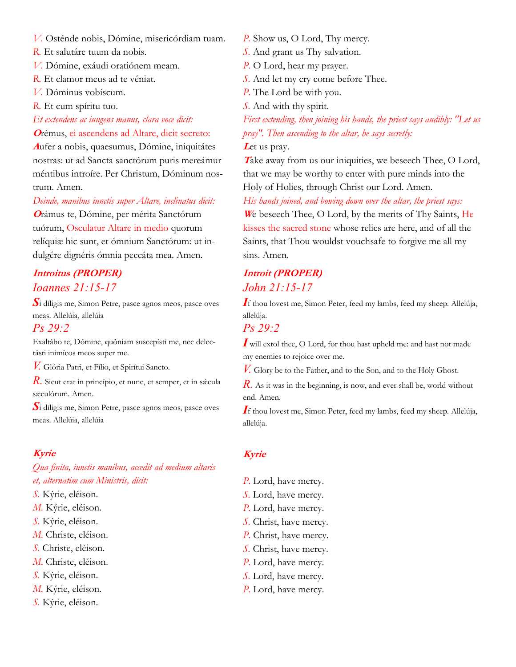*V.* Osténde nobis, Dómine, misericórdiam tuam.

*R.* Et salutáre tuum da nobis.

*V.* Dómine, exáudi oratiónem meam.

*R.* Et clamor meus ad te véniat.

*V.* Dóminus vobíscum.

*R.* Et cum spíritu tuo.

*Et extendens ac iungens manus, clara voce dicit:*

**<sup>O</sup>**rémus, ei ascendens ad Altare, dicit secreto:

**<sup>A</sup>**ufer a nobis, quaesumus, Dómine, iniquitátes nostras: ut ad Sancta sanctórum puris mereámur méntibus introíre. Per Christum, Dóminum nostrum. Amen.

*Deinde, manibus iunctis super Altare, inclinatus dicit:*

**<sup>O</sup>**rámus te, Dómine, per mérita Sanctórum tuórum, Osculatur Altare in medio quorum relíquiæ hic sunt, et ómnium Sanctórum: ut indulgére dignéris ómnia peccáta mea. Amen.

## **Introitus (PROPER)** *Ioannes 21:15-17*

*S*i díligis me, Simon Petre, pasce agnos meos, pasce oves meas. Allelúia, allelúia

### *Ps 29:2*

Exaltábo te, Dómine, quóniam suscepísti me, nec delectásti inimícos meos super me.

*V.* Glória Patri, et Fílio, et Spirítui Sancto.

*R.* Sicut erat in princípio, et nunc, et semper, et in sǽcula sæculórum. Amen.

*S*i díligis me, Simon Petre, pasce agnos meos, pasce oves meas. Allelúia, allelúia

## **Kyrie**

*Qua finita, iunctis manibus, accedit ad medium altaris et, alternatim cum Ministris, dicit:*

- *S.* Kýrie, eléison.
- *M.* Kýrie, eléison.
- *S.* Kýrie, eléison.
- *M.* Christe, eléison.
- *S.* Christe, eléison.
- *M.* Christe, eléison.
- *S.* Kýrie, eléison.
- *M.* Kýrie, eléison.
- *S.* Kýrie, eléison.

*P.* Show us, O Lord, Thy mercy.

- *S.* And grant us Thy salvation.
- *P.* O Lord, hear my prayer.
- *S.* And let my cry come before Thee.
- *P.* The Lord be with you.
- *S.* And with thy spirit.

*First extending, then joining his hands, the priest says audibly: "Let us pray". Then ascending to the altar, he says secretly:*

### Let us pray.

Take away from us our iniquities, we beseech Thee, O Lord, that we may be worthy to enter with pure minds into the Holy of Holies, through Christ our Lord. Amen.

*His hands joined, and bowing down over the altar, the priest says:*

**<sup>W</sup>**e beseech Thee, O Lord, by the merits of Thy Saints, He kisses the sacred stone whose relics are here, and of all the Saints, that Thou wouldst vouchsafe to forgive me all my sins. Amen.

## **Introit (PROPER)** *John 21:15-17*

*I*f thou lovest me, Simon Peter, feed my lambs, feed my sheep. Allelúja, allelúja.

### *Ps 29:2*

*I* will extol thee, O Lord, for thou hast upheld me: and hast not made my enemies to rejoice over me.

*V*. Glory be to the Father, and to the Son, and to the Holy Ghost.

*R*. As it was in the beginning, is now, and ever shall be, world without end. Amen.

*I*f thou lovest me, Simon Peter, feed my lambs, feed my sheep. Allelúja, allelúja.

### **Kyrie**

*P.* Lord, have mercy. *S.* Lord, have mercy. *P.* Lord, have mercy. *S.* Christ, have mercy. *P.* Christ, have mercy. *S.* Christ, have mercy. *P.* Lord, have mercy. *S.* Lord, have mercy. *P.* Lord, have mercy.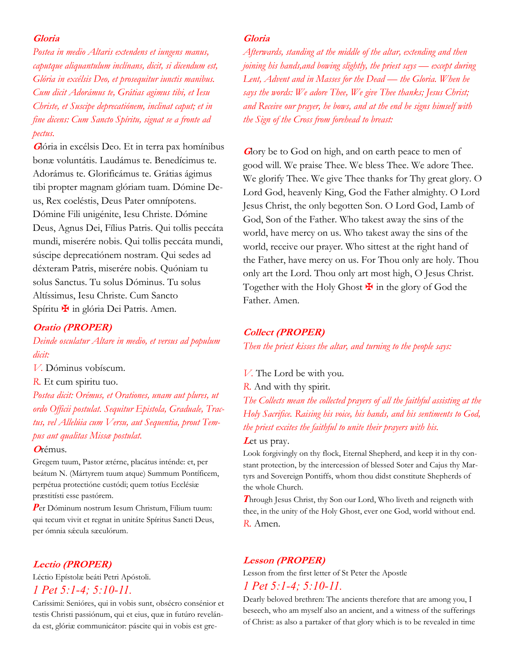#### **Gloria**

*Postea in medio Altaris extendens et iungens manus, caputque aliquantulum inclínans, dicit, si dicendum est, Glória in excélsis Deo, et prosequitur iunctis manibus. Cum dicit Adorámus te, Grátias agimus tibi, et Iesu Christe, et Suscipe deprecatiónem, inclinat caput; et in fine dicens: Cum Sancto Spíritu, signat se a fronte ad pectus.*

**<sup>G</sup>**lória in excélsis Deo. Et in terra pax homínibus bonæ voluntátis. Laudámus te. Benedícimus te. Adorámus te. Glorificámus te. Grátias ágimus tibi propter magnam glóriam tuam. Dómine Deus, Rex coeléstis, Deus Pater omnípotens. Dómine Fili unigénite, Iesu Christe. Dómine Deus, Agnus Dei, Fílius Patris. Qui tollis peccáta mundi, miserére nobis. Qui tollis peccáta mundi, súscipe deprecatiónem nostram. Qui sedes ad déxteram Patris, miserére nobis. Quóniam tu solus Sanctus. Tu solus Dóminus. Tu solus Altíssimus, Iesu Christe. Cum Sancto Spíritu **¥** in glória Dei Patris. Amen.

### **Oratio (PROPER)**

*Deinde osculatur Altare in medio, et versus ad populum dicit:*

*V.* Dóminus vobíscum.

*R.* Et cum spiritu tuo.

*Postea dicit: Orémus, et Orationes, unam aut plures, ut ordo Officii postulat. Sequitur Epistola, Graduale, Tractus, vel Allelúia cum Versu, aut Sequentia, prout Tempus aut qualitas Missæ postulat.*

#### **<sup>O</sup>**rémus.

Gregem tuum, Pastor ætérne, placátus inténde: et, per beátum N. (Mártyrem tuum atque) Summum Pontíficem, perpétua protectióne custódi; quem totíus Ecclésiæ præstitísti esse pastórem.

*P*er Dóminum nostrum Iesum Christum, Fílium tuum: qui tecum vivit et regnat in unitáte Spíritus Sancti Deus, per ómnia sǽcula sæculórum.

#### **Lectio (PROPER)**

Léctio Epístolæ beáti Petri Apóstoli. *1 Pet 5:1-4; 5:10-11.*

Caríssimi: Senióres, qui in vobis sunt, obsécro consénior et testis Christi passiónum, qui et eius, quæ in futúro revelánda est, glóriæ communicátor: páscite qui in vobis est gre-

#### **Gloria**

*Afterwards, standing at the middle of the altar, extending and then joining his hands,and bowing slightly, the priest says — except during Lent, Advent and in Masses for the Dead — the Gloria. When he says the words: We adore Thee, We give Thee thanks; Jesus Christ; and Receive our prayer, he bows, and at the end he signs himself with the Sign of the Cross from forehead to breast:*

**G**lory be to God on high, and on earth peace to men of good will. We praise Thee. We bless Thee. We adore Thee. We glorify Thee. We give Thee thanks for Thy great glory. O Lord God, heavenly King, God the Father almighty. O Lord Jesus Christ, the only begotten Son. O Lord God, Lamb of God, Son of the Father. Who takest away the sins of the world, have mercy on us. Who takest away the sins of the world, receive our prayer. Who sittest at the right hand of the Father, have mercy on us. For Thou only are holy. Thou only art the Lord. Thou only art most high, O Jesus Christ. Together with the Holy Ghost  $\mathbf{\Psi}$  in the glory of God the Father. Amen.

#### **Collect (PROPER)**

*Then the priest kisses the altar, and turning to the people says:*

*V.* The Lord be with you. *R.* And with thy spirit.

*The Collects mean the collected prayers of all the faithful assisting at the Holy Sacrifice. Raising his voice, his hands, and his sentiments to God, the priest excites the faithful to unite their prayers with his.*

### Let us pray.

Look forgivingly on thy flock, Eternal Shepherd, and keep it in thy constant protection, by the intercession of blessed Soter and Cajus thy Martyrs and Sovereign Pontiffs, whom thou didst constitute Shepherds of the whole Church.

**Through Jesus Christ, thy Son our Lord, Who liveth and reigneth with** thee, in the unity of the Holy Ghost, ever one God, world without end. *R.* Amen.

#### **Lesson (PROPER)**

Lesson from the first letter of St Peter the Apostle *1 Pet 5:1-4; 5:10-11.*

Dearly beloved brethren: The ancients therefore that are among you, I beseech, who am myself also an ancient, and a witness of the sufferings of Christ: as also a partaker of that glory which is to be revealed in time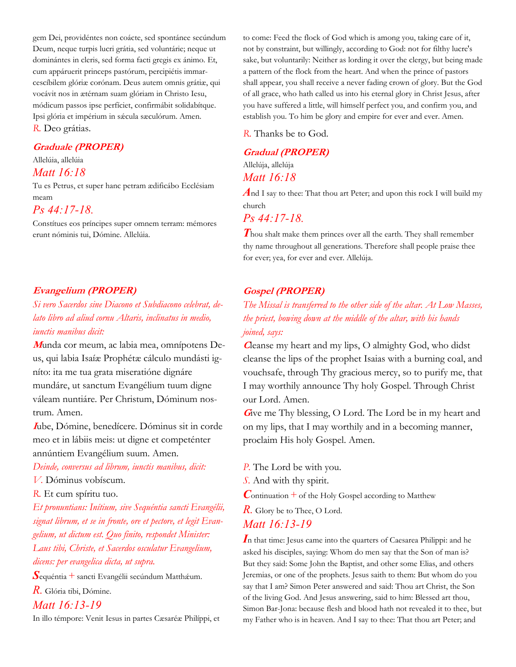gem Dei, providéntes non coácte, sed spontánee secúndum Deum, neque turpis lucri grátia, sed voluntárie; neque ut dominántes in cleris, sed forma facti gregis ex ánimo. Et, cum appáruerit princeps pastórum, percipiétis immarcescíbilem glóriæ corónam. Deus autem omnis grátiæ, qui vocávit nos in ætérnam suam glóriam in Christo Iesu, módicum passos ipse perfíciet, confirmábit solidabítque. Ipsi glória et impérium in sæcula sæculórum. Amen. *R.* Deo grátias.

#### **Graduale (PROPER)**

Allelúia, allelúia

### *Matt 16:18*

Tu es Petrus, et super hanc petram ædificábo Ecclésiam meam

### *Ps 44:17-18.*

Constítues eos príncipes super omnem terram: mémores erunt nóminis tui, Dómine. Allelúia.

### **Evangelium (PROPER)**

## *Si vero Sacerdos sine Diacono et Subdiacono celebrat, delato libro ad aliud cornu Altaris, inclinatus in medio, iunctis manibus dicit:*

**M**unda cor meum, ac labia mea, omnípotens Deus, qui labia Isaíæ Prophétæ cálculo mundásti igníto: ita me tua grata miseratióne dignáre mundáre, ut sanctum Evangélium tuum digne váleam nuntiáre. Per Christum, Dóminum nostrum. Amen.

**<sup>I</sup>**ube, Dómine, benedícere. Dóminus sit in corde meo et in lábiis meis: ut digne et competénter annúntiem Evangélium suum. Amen.

## *Deinde, conversus ad librum, iunctis manibus, dicit:*

*V.* Dóminus vobíscum.

*R.* Et cum spíritu tuo.

*Et pronuntians: Inítium, sive Sequéntia sancti Evangélii, signat librum, et se in fronte, ore et pectore, et legit Evangelium, ut dictum est. Quo finito, respondet Minister: Laus tibi, Christe, et Sacerdos osculatur Evangelium, dicens: per evangelica dicta, ut supra.*

**S**equéntia + sancti Evangélii secúndum Mattháum.

*R.* Glória tibi, Dómine.

#### *Matt 16:13-19*

In illo témpore: Venit Iesus in partes Cæsaréæ Philíppi, et

to come: Feed the flock of God which is among you, taking care of it, not by constraint, but willingly, according to God: not for filthy lucre's sake, but voluntarily: Neither as lording it over the clergy, but being made a pattern of the flock from the heart. And when the prince of pastors shall appear, you shall receive a never fading crown of glory. But the God of all grace, who hath called us into his eternal glory in Christ Jesus, after you have suffered a little, will himself perfect you, and confirm you, and establish you. To him be glory and empire for ever and ever. Amen.

*R.* Thanks be to God.

## **Gradual (PROPER)** Allelúja, allelúja *Matt 16:18*

*A*nd I say to thee: That thou art Peter; and upon this rock I will build my church

### *Ps 44:17-18.*

**Thou shalt make them princes over all the earth. They shall remember** thy name throughout all generations. Therefore shall people praise thee for ever; yea, for ever and ever. Allelúja.

### **Gospel (PROPER)**

## *The Missal is transferred to the other side of the altar. At Low Masses, the priest, bowing down at the middle of the altar, with his hands joined, says:*

**C**leanse my heart and my lips, O almighty God, who didst cleanse the lips of the prophet Isaias with a burning coal, and vouchsafe, through Thy gracious mercy, so to purify me, that I may worthily announce Thy holy Gospel. Through Christ our Lord. Amen.

Give me Thy blessing, O Lord. The Lord be in my heart and on my lips, that I may worthily and in a becoming manner, proclaim His holy Gospel. Amen.

*P.* The Lord be with you.

*S.* And with thy spirit.

 $\mathcal{C}_{\text{ontinuation}} +$  of the Holy Gospel according to Matthew

*R*. Glory be to Thee, O Lord. *Matt 16:13-19*

In that time: Jesus came into the quarters of Caesarea Philippi: and he asked his disciples, saying: Whom do men say that the Son of man is? But they said: Some John the Baptist, and other some Elias, and others Jeremias, or one of the prophets. Jesus saith to them: But whom do you say that I am? Simon Peter answered and said: Thou art Christ, the Son of the living God. And Jesus answering, said to him: Blessed art thou, Simon Bar-Jona: because flesh and blood hath not revealed it to thee, but my Father who is in heaven. And I say to thee: That thou art Peter; and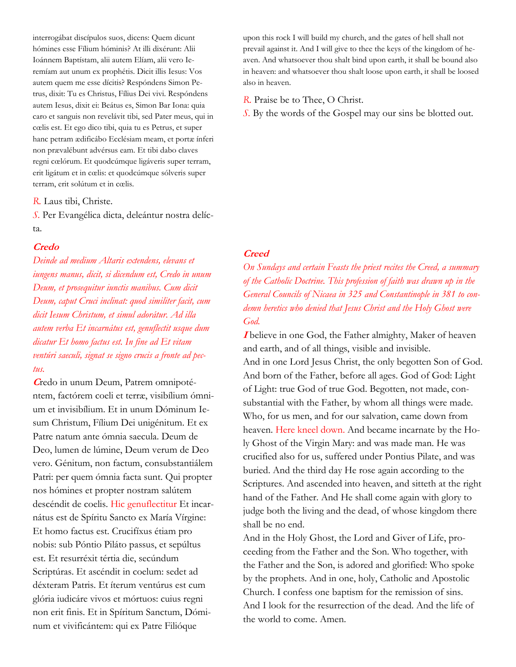interrogábat discípulos suos, dicens: Quem dicunt hómines esse Fílium hóminis? At illi dixérunt: Alii Ioánnem Baptístam, alii autem Elíam, alii vero Ieremíam aut unum ex prophétis. Dicit illis Iesus: Vos autem quem me esse dícitis? Respóndens Simon Petrus, dixit: Tu es Christus, Fílius Dei vivi. Respóndens autem Iesus, dixit ei: Beátus es, Simon Bar Iona: quia caro et sanguis non revelávit tibi, sed Pater meus, qui in cœlis est. Et ego dico tibi, quia tu es Petrus, et super hanc petram ædificábo Ecclésiam meam, et portæ ínferi non prævalébunt advérsus eam. Et tibi dabo claves regni cœlórum. Et quodcúmque ligáveris super terram, erit ligátum et in cœlis: et quodcúmque sólveris super terram, erit solútum et in cœlis.

*R.* Laus tibi, Christe.

*S.* Per Evangélica dicta, deleántur nostra delícta.

### **Credo**

*Deinde ad medium Altaris extendens, elevans et iungens manus, dicit, si dicendum est, Credo in unum Deum, et prosequitur iunctis manibus. Cum dicit Deum, caput Cruci inclinat: quod similiter facit, cum dicit Iesum Christum, et simul adorátur. Ad illa autem verba Et incarnátus est, genuflectit usque dum dicatur Et homo factus est. In fine ad Et vitam ventúri saeculi, signat se signo crucis a fronte ad pectus.*

**C**redo in unum Deum, Patrem omnipoténtem, factórem coeli et terræ, visibílium ómnium et invisibílium. Et in unum Dóminum Iesum Christum, Fílium Dei unigénitum. Et ex Patre natum ante ómnia saecula. Deum de Deo, lumen de lúmine, Deum verum de Deo vero. Génitum, non factum, consubstantiálem Patri: per quem ómnia facta sunt. Qui propter nos hómines et propter nostram salútem descéndit de coelis. Hic genuflectitur Et incarnátus est de Spíritu Sancto ex María Vírgine: Et homo factus est. Crucifíxus étiam pro nobis: sub Póntio Piláto passus, et sepúltus est. Et resurréxit tértia die, secúndum Scriptúras. Et ascéndit in coelum: sedet ad déxteram Patris. Et íterum ventúrus est cum glória iudicáre vivos et mórtuos: cuius regni non erit finis. Et in Spíritum Sanctum, Dóminum et vivificántem: qui ex Patre Filióque

upon this rock I will build my church, and the gates of hell shall not prevail against it. And I will give to thee the keys of the kingdom of heaven. And whatsoever thou shalt bind upon earth, it shall be bound also in heaven: and whatsoever thou shalt loose upon earth, it shall be loosed also in heaven.

*R.* Praise be to Thee, O Christ.

*S.* By the words of the Gospel may our sins be blotted out.

#### **Creed**

*On Sundays and certain Feasts the priest recites the Creed, a summary of the Catholic Doctrine. This profession of faith was drawn up in the General Councils of Nicaea in 325 and Constantinople in 381 to condemn heretics who denied that Jesus Christ and the Holy Ghost were God.*

**I** believe in one God, the Father almighty, Maker of heaven and earth, and of all things, visible and invisible. And in one Lord Jesus Christ, the only begotten Son of God. And born of the Father, before all ages. God of God: Light of Light: true God of true God. Begotten, not made, consubstantial with the Father, by whom all things were made. Who, for us men, and for our salvation, came down from heaven. Here kneel down. And became incarnate by the Holy Ghost of the Virgin Mary: and was made man. He was crucified also for us, suffered under Pontius Pilate, and was buried. And the third day He rose again according to the Scriptures. And ascended into heaven, and sitteth at the right hand of the Father. And He shall come again with glory to judge both the living and the dead, of whose kingdom there shall be no end.

And in the Holy Ghost, the Lord and Giver of Life, proceeding from the Father and the Son. Who together, with the Father and the Son, is adored and glorified: Who spoke by the prophets. And in one, holy, Catholic and Apostolic Church. I confess one baptism for the remission of sins. And I look for the resurrection of the dead. And the life of the world to come. Amen.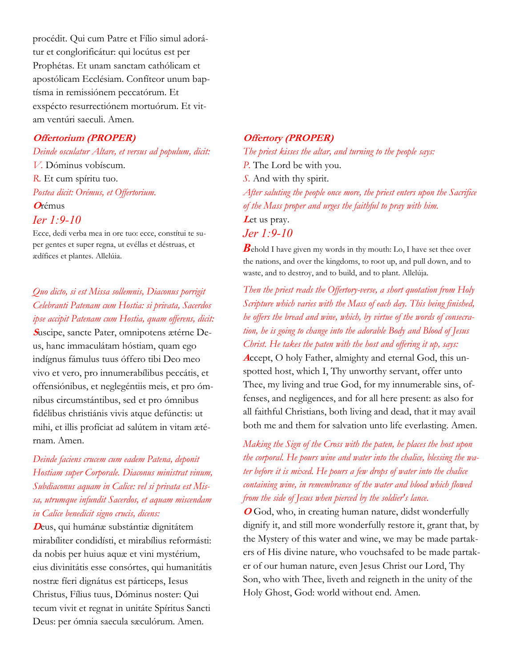procédit. Qui cum Patre et Fílio simul adorátur et conglorificátur: qui locútus est per Prophétas. Et unam sanctam cathólicam et apostólicam Ecclésiam. Confíteor unum baptísma in remissiónem peccatórum. Et exspécto resurrectiónem mortuórum. Et vitam ventúri saeculi. Amen.

### **Offertorium (PROPER)**

*Deinde osculatur Altare, et versus ad populum, dicit: V.* Dóminus vobíscum. *R.* Et cum spíritu tuo. *Postea dicit: Orémus, et Offertorium.* **<sup>O</sup>**rémus *Ier 1:9-10*

Ecce, dedi verba mea in ore tuo: ecce, constítui te super gentes et super regna, ut evéllas et déstruas, et ædífices et plantes. Allelúia.

*Quo dicto, si est Missa sollemnis, Diaconus porrigit Celebranti Patenam cum Hostia: si privata, Sacerdos ipse accipit Patenam cum Hostia, quam offerens, dicit:* **S**uscipe, sancte Pater, omnipotens ætérne Deus, hanc immaculátam hóstiam, quam ego indígnus fámulus tuus óffero tibi Deo meo vivo et vero, pro innumerabílibus peccátis, et offensiónibus, et neglegéntiis meis, et pro ómnibus circumstántibus, sed et pro ómnibus fidélibus christiánis vivis atque defúnctis: ut mihi, et illis profíciat ad salútem in vitam ætérnam. Amen.

*Deinde faciens crucem cum eadem Patena, deponit Hostiam super Corporale. Diaconus ministrat vinum, Subdiaconus aquam in Calice: vel si privata est Missa, utrumque infundit Sacerdos, et aquam miscendam in Calice benedicit signo crucis, dicens:*

**<sup>D</sup>**eus, qui humánæ substántiæ dignitátem mirabíliter condidísti, et mirabílius reformásti: da nobis per huius aquæ et vini mystérium, eius divinitátis esse consórtes, qui humanitátis nostræ fíeri dignátus est párticeps, Iesus Christus, Fílius tuus, Dóminus noster: Qui tecum vivit et regnat in unitáte Spíritus Sancti Deus: per ómnia saecula sæculórum. Amen.

#### **Offertory (PROPER)**

*The priest kisses the altar, and turning to the people says: P.* The Lord be with you. *S.* And with thy spirit. *After saluting the people once more, the priest enters upon the Sacrifice of the Mass proper and urges the faithful to pray with him.* Let us pray. *Jer 1:9-10*

*B*ehold I have given my words in thy mouth: Lo, I have set thee over the nations, and over the kingdoms, to root up, and pull down, and to waste, and to destroy, and to build, and to plant. Allelúja.

*Then the priest reads the Offertory-verse, a short quotation from Holy Scripture which varies with the Mass of each day. This being finished, he offers the bread and wine, which, by virtue of the words of consecration, he is going to change into the adorable Body and Blood of Jesus Christ. He takes the paten with the host and offering it up, says:* **A**ccept, O holy Father, almighty and eternal God, this unspotted host, which I, Thy unworthy servant, offer unto Thee, my living and true God, for my innumerable sins, offenses, and negligences, and for all here present: as also for all faithful Christians, both living and dead, that it may avail both me and them for salvation unto life everlasting. Amen.

*Making the Sign of the Cross with the paten, he places the host upon the corporal. He pours wine and water into the chalice, blessing the water before it is mixed. He pours a few drops of water into the chalice containing wine, in remembrance of the water and blood which flowed from the side of Jesus when pierced by the soldier's lance.*

**<sup>O</sup>** God, who, in creating human nature, didst wonderfully dignify it, and still more wonderfully restore it, grant that, by the Mystery of this water and wine, we may be made partakers of His divine nature, who vouchsafed to be made partaker of our human nature, even Jesus Christ our Lord, Thy Son, who with Thee, liveth and reigneth in the unity of the Holy Ghost, God: world without end. Amen.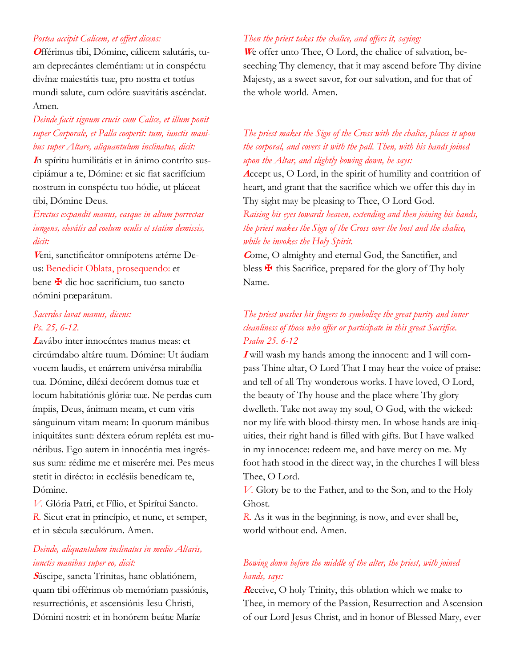### *Postea accipit Calicem, et offert dicens:*

**O**fférimus tibi, Dómine, cálicem salutáris, tuam deprecántes cleméntiam: ut in conspéctu divínæ maiestátis tuæ, pro nostra et totíus mundi salute, cum odóre suavitátis ascéndat. Amen.

## *Deinde facit signum crucis cum Calice, et illum ponit super Corporale, et Palla cooperit: tum, iunctis manibus super Altare, aliquantulum inclinatus, dicit:*

**I**n spíritu humilitátis et in ánimo contríto suscipiámur a te, Dómine: et sic fiat sacrifícium nostrum in conspéctu tuo hódie, ut pláceat tibi, Dómine Deus.

*Erectus expandit manus, easque in altum porrectas iungens, elevátis ad coelum oculis et statim demissis, dicit:*

**V**eni, sanctificátor omnípotens ætérne Deus: Benedicit Oblata, prosequendo: et bene **¥** dic hoc sacrifícium, tuo sancto nómini præparátum.

### *Sacerdos lavat manus, dicens: Ps. 25, 6-12.*

**<sup>L</sup>**avábo inter innocéntes manus meas: et circúmdabo altáre tuum. Dómine: Ut áudiam vocem laudis, et enárrem univérsa mirabília tua. Dómine, diléxi decórem domus tuæ et locum habitatiónis glóriæ tuæ. Ne perdas cum ímpiis, Deus, ánimam meam, et cum viris sánguinum vitam meam: In quorum mánibus iniquitátes sunt: déxtera eórum repléta est munéribus. Ego autem in innocéntia mea ingréssus sum: rédime me et miserére mei. Pes meus stetit in dirécto: in ecclésiis benedícam te, Dómine.

*V.* Glória Patri, et Fílio, et Spirítui Sancto. *R.* Sicut erat in princípio, et nunc, et semper, et in sǽcula sæculórum. Amen.

### *Deinde, aliquantulum inclinatus in medio Altaris, iunctis manibus super eo, dicit:*

**<sup>S</sup>**úscipe, sancta Trinitas, hanc oblatiónem, quam tibi offérimus ob memóriam passiónis, resurrectiónis, et ascensiónis Iesu Christi, Dómini nostri: et in honórem beátæ Maríæ

### *Then the priest takes the chalice, and offers it, saying:*

**W**e offer unto Thee, O Lord, the chalice of salvation, beseeching Thy clemency, that it may ascend before Thy divine Majesty, as a sweet savor, for our salvation, and for that of the whole world. Amen.

## *The priest makes the Sign of the Cross with the chalice, places it upon the corporal, and covers it with the pall. Then, with his hands joined upon the Altar, and slightly bowing down, he says:*

**<sup>A</sup>**ccept us, O Lord, in the spirit of humility and contrition of heart, and grant that the sacrifice which we offer this day in Thy sight may be pleasing to Thee, O Lord God.

*Raising his eyes towards heaven, extending and then joining his hands, the priest makes the Sign of the Cross over the host and the chalice, while he invokes the Holy Spirit.*

**<sup>C</sup>**ome, O almighty and eternal God, the Sanctifier, and bless  $\mathbf{\Psi}$  this Sacrifice, prepared for the glory of Thy holy Name.

## *The priest washes his fingers to symbolize the great purity and inner cleanliness of those who offer or participate in this great Sacrifice. Psalm 25. 6-12*

**I** will wash my hands among the innocent: and I will compass Thine altar, O Lord That I may hear the voice of praise: and tell of all Thy wonderous works. I have loved, O Lord, the beauty of Thy house and the place where Thy glory dwelleth. Take not away my soul, O God, with the wicked: nor my life with blood-thirsty men. In whose hands are iniquities, their right hand is filled with gifts. But I have walked in my innocence: redeem me, and have mercy on me. My foot hath stood in the direct way, in the churches I will bless Thee, O Lord.

*V.* Glory be to the Father, and to the Son, and to the Holy Ghost.

*R.* As it was in the beginning, is now, and ever shall be, world without end. Amen.

## *Bowing down before the middle of the alter, the priest, with joined hands, says:*

**<sup>R</sup>**eceive, O holy Trinity, this oblation which we make to Thee, in memory of the Passion, Resurrection and Ascension of our Lord Jesus Christ, and in honor of Blessed Mary, ever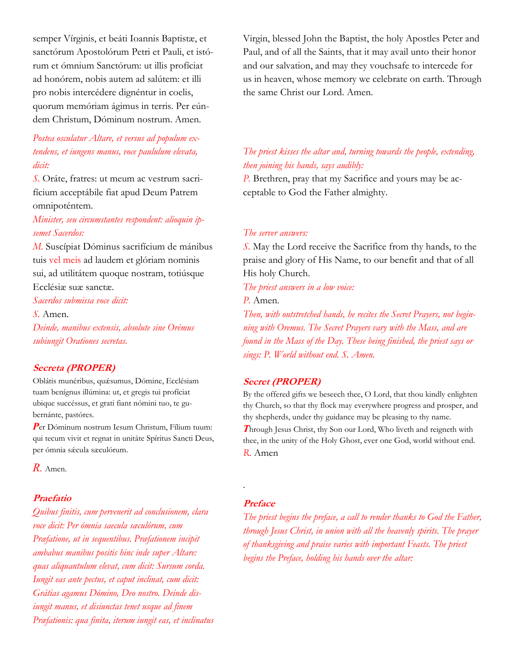semper Vírginis, et beáti Ioannis Baptistæ, et sanctórum Apostolórum Petri et Pauli, et istórum et ómnium Sanctórum: ut illis profíciat ad honórem, nobis autem ad salútem: et illi pro nobis intercédere dignéntur in coelis, quorum memóriam ágimus in terris. Per eúndem Christum, Dóminum nostrum. Amen.

## *Postea osculatur Altare, et versus ad populum extendens, et iungens manus, voce paululum elevata, dicit:*

*S.* Oráte, fratres: ut meum ac vestrum sacrifícium acceptábile fiat apud Deum Patrem omnipoténtem.

### *Minister, seu circumstantes respondent: alioquin ipsemet Sacerdos:*

*M.* Suscípiat Dóminus sacrifícium de mánibus tuis vel meis ad laudem et glóriam nominis sui, ad utilitátem quoque nostram, totiúsque Ecclésiæ suæ sanctæ.

*Sacerdos submissa voce dicit:*

*S.* Amen. *Deinde, manibus extensis, absolute sine Orémus subiungit Orationes secretas.*

### **Secreta (PROPER)**

Oblátis munéribus, quǽsumus, Dómine, Ecclésiam tuam benígnus illúmina: ut, et gregis tui profíciat ubique succéssus, et grati fiant nómini tuo, te gubernánte, pastóres.

*P*er Dóminum nostrum Iesum Christum, Fílium tuum: qui tecum vivit et regnat in unitáte Spíritus Sancti Deus, per ómnia sæcula sæculórum.

*R.* Amen.

### **Praefatio**

*Quibus finitis, cum pervenerit ad conclusionem, clara voce dicit: Per ómnia saecula sæculórum, cum Præfatione, ut in sequentibus. Præfationem incipit ambabus manibus positis hinc inde super Altare: quas aliquantulum elevat, cum dicit: Sursum corda. Iungit eas ante pectus, et caput inclinat, cum dicit: Grátias agamus Dómino, Deo nostro. Deinde disiungit manus, et disiunctas tenet usque ad finem Præfationis: qua finita, iterum iungit eas, et inclinatus*  Virgin, blessed John the Baptist, the holy Apostles Peter and Paul, and of all the Saints, that it may avail unto their honor and our salvation, and may they vouchsafe to intercede for us in heaven, whose memory we celebrate on earth. Through the same Christ our Lord. Amen.

## *The priest kisses the altar and, turning towards the people, extending, then joining his hands, says audibly:*

*P.* Brethren, pray that my Sacrifice and yours may be acceptable to God the Father almighty.

#### *The server answers:*

*S.* May the Lord receive the Sacrifice from thy hands, to the praise and glory of His Name, to our benefit and that of all His holy Church.

*The priest answers in a low voice:*

*P.* Amen.

*Then, with outstretched hands, he recites the Secret Prayers, not beginning with Oremus. The Secret Prayers vary with the Mass, and are found in the Mass of the Day. These being finished, the priest says or sings: P. World without end. S. Amen.*

#### **Secret (PROPER)**

By the offered gifts we beseech thee, O Lord, that thou kindly enlighten thy Church, so that thy flock may everywhere progress and prosper, and thy shepherds, under thy guidance may be pleasing to thy name. *T*hrough Jesus Christ, thy Son our Lord, Who liveth and reigneth with thee, in the unity of the Holy Ghost, ever one God, world without end. *R.* Amen

#### **Preface**

.

*The priest begins the preface, a call to render thanks to God the Father, through Jesus Christ, in union with all the heavenly spirits. The prayer of thanksgiving and praise varies with important Feasts. The priest begins the Preface, holding his hands over the altar:*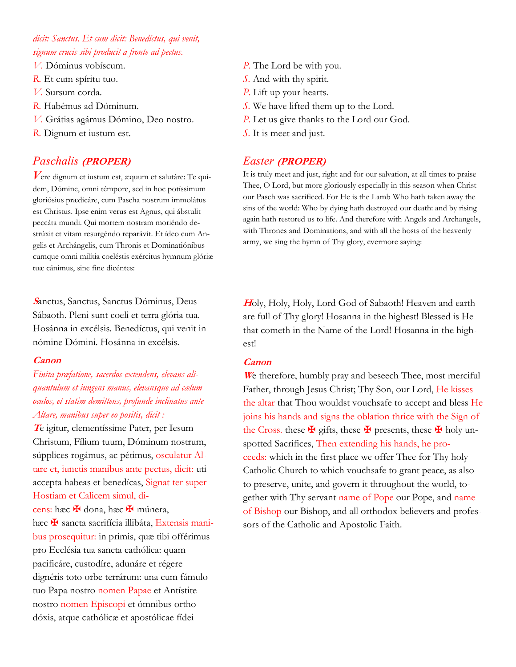## *dicit: Sanctus. Et cum dicit: Benedíctus, qui venit, signum crucis sibi producit a fronte ad pectus.*

- *V.* Dóminus vobíscum.
- *R.* Et cum spíritu tuo.
- *V.* Sursum corda.
- *R.* Habémus ad Dóminum.
- *V.* Grátias agámus Dómino, Deo nostro.
- *R.* Dignum et iustum est.

## *Paschalis* **(PROPER)**

*V*ere dignum et iustum est, æquum et salutáre: Te quidem, Dómine, omni témpore, sed in hoc potíssimum gloriósius prædicáre, cum Pascha nostrum immolátus est Christus. Ipse enim verus est Agnus, qui ábstulit peccáta mundi. Qui mortem nostram moriéndo destrúxit et vitam resurgéndo reparávit. Et ídeo cum Angelis et Archángelis, cum Thronis et Dominatiónibus cumque omni milítia coeléstis exércitus hymnum glóriæ tuæ cánimus, sine fine dicéntes:

**<sup>S</sup>**anctus, Sanctus, Sanctus Dóminus, Deus Sábaoth. Pleni sunt coeli et terra glória tua. Hosánna in excélsis. Benedíctus, qui venit in nómine Dómini. Hosánna in excélsis.

### **Canon**

*Finita præfatione, sacerdos extendens, elevans aliquantulum et iungens manus, elevansque ad cælum oculos, et statim demittens, profunde inclinatus ante Altare, manibus super eo positis, dicit :*

**<sup>T</sup>**e igitur, clementíssime Pater, per Iesum Christum, Fílium tuum, Dóminum nostrum, súpplices rogámus, ac pétimus, osculatur Altare et, iunctis manibus ante pectus, dicit: uti accepta habeas et benedícas, Signat ter super Hostiam et Calicem simul, di-

cens: hæc <del>¥</del> dona, hæc <del>¥</del> múnera, hæc  $\mathbf{\mathbf{\mathsf{F}}}$  sancta sacrifícia illibáta, Extensis manibus prosequitur: in primis, quæ tibi offérimus pro Ecclésia tua sancta cathólica: quam pacificáre, custodíre, adunáre et régere dignéris toto orbe terrárum: una cum fámulo tuo Papa nostro nomen Papae et Antístite nostro nomen Episcopi et ómnibus orthodóxis, atque cathólicæ et apostólicae fídei

- *P.* The Lord be with you.
- *S.* And with thy spirit.
- *P.* Lift up your hearts.
- *S.* We have lifted them up to the Lord.
- *P.* Let us give thanks to the Lord our God.
- *S.* It is meet and just.

## *Easter* **(PROPER)**

It is truly meet and just, right and for our salvation, at all times to praise Thee, O Lord, but more gloriously especially in this season when Christ our Pasch was sacrificed. For He is the Lamb Who hath taken away the sins of the world: Who by dying hath destroyed our death: and by rising again hath restored us to life. And therefore with Angels and Archangels, with Thrones and Dominations, and with all the hosts of the heavenly army, we sing the hymn of Thy glory, evermore saying:

**<sup>H</sup>**oly, Holy, Holy, Lord God of Sabaoth! Heaven and earth are full of Thy glory! Hosanna in the highest! Blessed is He that cometh in the Name of the Lord! Hosanna in the highest!

### **Canon**

**<sup>W</sup>**e therefore, humbly pray and beseech Thee, most merciful Father, through Jesus Christ; Thy Son, our Lord, He kisses the altar that Thou wouldst vouchsafe to accept and bless He joins his hands and signs the oblation thrice with the Sign of the Cross. these  $\mathbf{\Psi}$  gifts, these  $\mathbf{\Psi}$  presents, these  $\mathbf{\Psi}$  holy unspotted Sacrifices, Then extending his hands, he proceeds: which in the first place we offer Thee for Thy holy Catholic Church to which vouchsafe to grant peace, as also to preserve, unite, and govern it throughout the world, together with Thy servant name of Pope our Pope, and name of Bishop our Bishop, and all orthodox believers and professors of the Catholic and Apostolic Faith.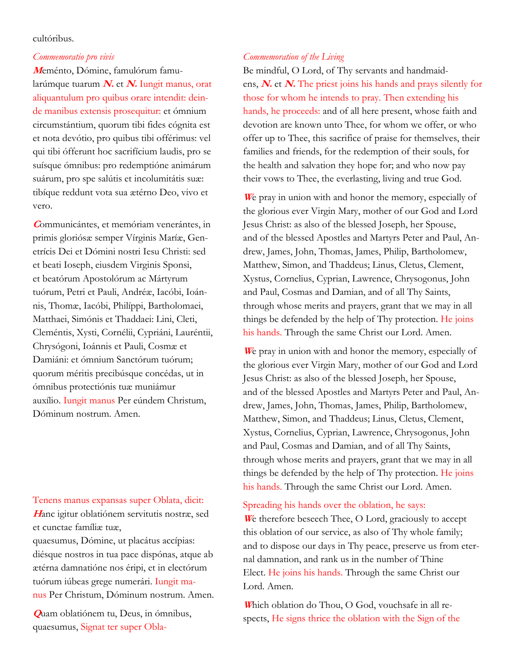### cultóribus.

#### *Commemoratio pro vivis*

**M**eménto, Dómine, famulórum famularúmque tuarum **N.** et **N.** Iungit manus, orat aliquantulum pro quibus orare intendit: deinde manibus extensis prosequitur: et ómnium circumstántium, quorum tibi fides cógnita est et nota devótio, pro quibus tibi offérimus: vel qui tibi ófferunt hoc sacrifícium laudis, pro se suísque ómnibus: pro redemptióne animárum suárum, pro spe salútis et incolumitátis suæ: tibíque reddunt vota sua ætérno Deo, vivo et vero.

**<sup>C</sup>**ommunicántes, et memóriam venerántes, in primis gloriósæ semper Vírginis Maríæ, Genetrícis Dei et Dómini nostri Iesu Christi: sed et beati Ioseph, eiusdem Virginis Sponsi, et beatórum Apostolórum ac Mártyrum tuórum, Petri et Pauli, Andréæ, Iacóbi, Ioánnis, Thomæ, Iacóbi, Philíppi, Bartholomaei, Matthaei, Simónis et Thaddaei: Lini, Cleti, Cleméntis, Xysti, Cornélii, Cypriáni, Lauréntii, Chrysógoni, Ioánnis et Pauli, Cosmæ et Damiáni: et ómnium Sanctórum tuórum; quorum méritis precibúsque concédas, ut in ómnibus protectiónis tuæ muniámur auxílio. Iungit manus Per eúndem Christum, Dóminum nostrum. Amen.

#### Tenens manus expansas super Oblata, dicit:

**<sup>H</sup>**anc igitur oblatiónem servitutis nostræ, sed et cunctae famíliæ tuæ,

quaesumus, Dómine, ut placátus accípias: diésque nostros in tua pace dispónas, atque ab ætérna damnatióne nos éripi, et in electórum tuórum iúbeas grege numerári. Iungit manus Per Christum, Dóminum nostrum. Amen.

**Q**uam oblatiónem tu, Deus, in ómnibus, quaesumus, Signat ter super Obla-

### *Commemoration of the Living*

Be mindful, O Lord, of Thy servants and handmaidens, **N.** et **N.** The priest joins his hands and prays silently for those for whom he intends to pray. Then extending his hands, he proceeds: and of all here present, whose faith and devotion are known unto Thee, for whom we offer, or who offer up to Thee, this sacrifice of praise for themselves, their families and friends, for the redemption of their souls, for the health and salvation they hope for; and who now pay their vows to Thee, the everlasting, living and true God.

**<sup>W</sup>**e pray in union with and honor the memory, especially of the glorious ever Virgin Mary, mother of our God and Lord Jesus Christ: as also of the blessed Joseph, her Spouse, and of the blessed Apostles and Martyrs Peter and Paul, Andrew, James, John, Thomas, James, Philip, Bartholomew, Matthew, Simon, and Thaddeus; Linus, Cletus, Clement, Xystus, Cornelius, Cyprian, Lawrence, Chrysogonus, John and Paul, Cosmas and Damian, and of all Thy Saints, through whose merits and prayers, grant that we may in all things be defended by the help of Thy protection. He joins his hands. Through the same Christ our Lord. Amen.

**<sup>W</sup>**e pray in union with and honor the memory, especially of the glorious ever Virgin Mary, mother of our God and Lord Jesus Christ: as also of the blessed Joseph, her Spouse, and of the blessed Apostles and Martyrs Peter and Paul, Andrew, James, John, Thomas, James, Philip, Bartholomew, Matthew, Simon, and Thaddeus; Linus, Cletus, Clement, Xystus, Cornelius, Cyprian, Lawrence, Chrysogonus, John and Paul, Cosmas and Damian, and of all Thy Saints, through whose merits and prayers, grant that we may in all things be defended by the help of Thy protection. He joins his hands. Through the same Christ our Lord. Amen.

### Spreading his hands over the oblation, he says:

**<sup>W</sup>**e therefore beseech Thee, O Lord, graciously to accept this oblation of our service, as also of Thy whole family; and to dispose our days in Thy peace, preserve us from eternal damnation, and rank us in the number of Thine Elect. He joins his hands. Through the same Christ our Lord. Amen.

**W**hich oblation do Thou, O God, vouchsafe in all respects, He signs thrice the oblation with the Sign of the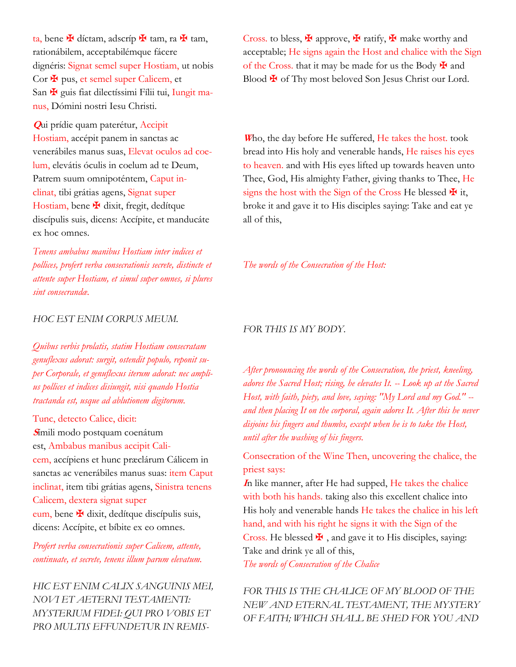ta, bene ✠ díctam, adscríp ✠ tam, ra ✠ tam, rationábilem, acceptabilémque fácere dignéris: Signat semel super Hostiam, ut nobis Cor  $\mathbf{\Psi}$  pus, et semel super Calicem, et San  $\mathbf{\Psi}$  guis fiat dilectíssimi Fílii tui, Iungit manus, Dómini nostri Iesu Christi.

**Q**ui prídie quam paterétur, Accipit Hostiam, accépit panem in sanctas ac venerábiles manus suas, Elevat oculos ad coelum, elevátis óculis in coelum ad te Deum, Patrem suum omnipoténtem, Caput inclinat, tibi grátias agens, Signat super Hostiam, bene  $\blacktriangleright$  dixit, fregit, dedítque discípulis suis, dicens: Accípite, et manducáte ex hoc omnes.

*Tenens ambabus manibus Hostiam inter indices et pollices, profert verba consecrationis secrete, distincte et attente super Hostiam, et simul super omnes, si plures sint consecrandæ.*

### *HOC EST ENIM CORPUS MEUM.*

*Quibus verbis prolatis, statim Hostiam consecratam genuflexus adorat: surgit, ostendit populo, reponit super Corporale, et genuflexus iterum adorat: nec amplius pollices et indices disiungit, nisi quando Hostia tractanda est, usque ad ablutionem digitorum.*

Tunc, detecto Calice, dicit: **<sup>S</sup>**ímili modo postquam coenátum est, Ambabus manibus accipit Calicem, accípiens et hunc præclárum Cálicem in sanctas ac venerábiles manus suas: item Caput inclinat, item tibi grátias agens, Sinistra tenens Calicem, dextera signat super eum, bene  $\mathbf{\Psi}$  dixit, dedítque discípulis suis, dicens: Accípite, et bíbite ex eo omnes.

*Profert verba consecrationis super Calicem, attente, continuate, et secrete, tenens illum parum elevatum.*

*HIC EST ENIM CALIX SANGUINIS MEI, NOVI ET AETERNI TESTAMENTI: MYSTERIUM FIDEI: QUI PRO VOBIS ET PRO MULTIS EFFUNDETUR IN REMIS-*

Cross. to bless,  $\mathbf{\Psi}$  approve,  $\mathbf{\Psi}$  ratify,  $\mathbf{\Psi}$  make worthy and acceptable; He signs again the Host and chalice with the Sign of the Cross. that it may be made for us the Body  $\maltese$  and Blood  $\maltese$  of Thy most beloved Son Jesus Christ our Lord.

**<sup>W</sup>**ho, the day before He suffered, He takes the host. took bread into His holy and venerable hands, He raises his eyes to heaven. and with His eyes lifted up towards heaven unto Thee, God, His almighty Father, giving thanks to Thee, He signs the host with the Sign of the Cross He blessed  $\mathbf{\Psi}$  it, broke it and gave it to His disciples saying: Take and eat ye all of this,

*The words of the Consecration of the Host:*

#### *FOR THIS IS MY BODY.*

*After pronouncing the words of the Consecration, the priest, kneeling, adores the Sacred Host; rising, he elevates It. -- Look up at the Sacred Host, with faith, piety, and love, saying: "My Lord and my God." - and then placing It on the corporal, again adores It. After this he never disjoins his fingers and thumbs, except when he is to take the Host, until after the washing of his fingers.*

Consecration of the Wine Then, uncovering the chalice, the priest says:

**<sup>I</sup>**n like manner, after He had supped, He takes the chalice with both his hands. taking also this excellent chalice into His holy and venerable hands He takes the chalice in his left hand, and with his right he signs it with the Sign of the Cross. He blessed  $\blacktriangleright$  , and gave it to His disciples, saying: Take and drink ye all of this,

*The words of Consecration of the Chalice*

*FOR THIS IS THE CHALICE OF MY BLOOD OF THE NEW AND ETERNAL TESTAMENT, THE MYSTERY OF FAITH; WHICH SHALL BE SHED FOR YOU AND*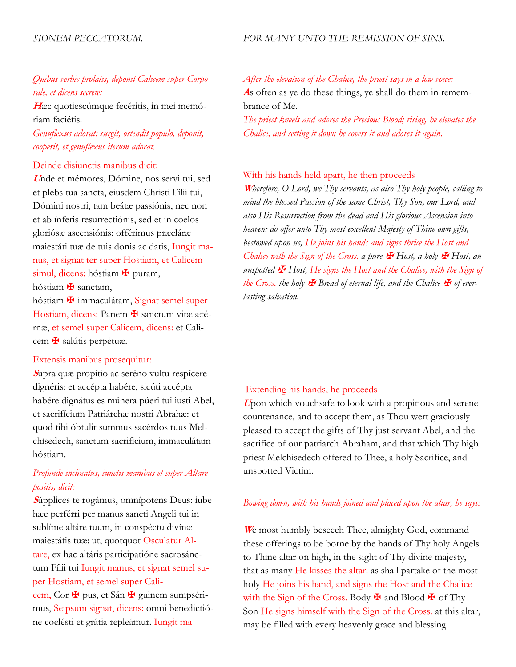### *Quibus verbis prolatis, deponit Calicem super Corporale, et dicens secrete:*

**H**æc quotiescúmque fecéritis, in mei memóriam faciétis.

*Genuflexus adorat: surgit, ostendit populo, deponit, cooperit, et genuflexus iterum adorat.*

#### Deinde disiunctis manibus dicit:

**<sup>U</sup>**nde et mémores, Dómine, nos servi tui, sed et plebs tua sancta, eiusdem Christi Fílii tui, Dómini nostri, tam beátæ passiónis, nec non et ab ínferis resurrectiónis, sed et in coelos gloriósæ ascensiónis: offérimus præcláræ maiestáti tuæ de tuis donis ac datis, Iungit manus, et signat ter super Hostiam, et Calicem simul, dicens: hóstiam  $\mathbf{\Psi}$  puram, hóstiam **¥** sanctam,

hóstiam **¥** immaculátam, Signat semel super Hostiam, dicens: Panem **\*** sanctum vitæ æté-

rnæ, et semel super Calicem, dicens: et Calicem ✠ salútis perpétuæ.

### Extensis manibus prosequitur:

**<sup>S</sup>**upra quæ propítio ac seréno vultu respícere dignéris: et accépta habére, sicúti accépta habére dignátus es múnera púeri tui iusti Abel, et sacrifícium Patriárchæ nostri Abrahæ: et quod tibi óbtulit summus sacérdos tuus Melchísedech, sanctum sacrifícium, immaculátam hóstiam.

## *Profunde inclinatus, iunctis manibus et super Altare positis, dicit:*

**<sup>S</sup>**úpplices te rogámus, omnípotens Deus: iube hæc perférri per manus sancti Angeli tui in sublíme altáre tuum, in conspéctu divínæ maiestátis tuæ: ut, quotquot Osculatur Altare, ex hac altáris participatióne sacrosánctum Fílii tui Iungit manus, et signat semel super Hostiam, et semel super Calicem, Cor <sup>★</sup> pus, et Sán ★ guinem sumpsérimus, Seipsum signat, dicens: omni benedictióne coelésti et grátia repleámur. Iungit ma*After the elevation of the Chalice, the priest says in a low voice:* **A**s often as ye do these things, ye shall do them in remembrance of Me. *The priest kneels and adores the Precious Blood; rising, he elevates the Chalice, and setting it down he covers it and adores it again.*

#### With his hands held apart, he then proceeds

**<sup>W</sup>***herefore, O Lord, we Thy servants, as also Thy holy people, calling to mind the blessed Passion of the same Christ, Thy Son, our Lord, and also His Resurrection from the dead and His glorious Ascension into heaven: do offer unto Thy most excellent Majesty of Thine own gifts, bestowed upon us, He joins his hands and signs thrice the Host and Chalice with the Sign of the Cross. a pure*  $\mathbf{\mathbf{\mathcal{F}}}$  Host, a holy  $\mathbf{\mathcal{F}}$  Host, an *unspotted* ✠ *Host, He signs the Host and the Chalice, with the Sign of the Cross. the holy*  $\mathbf{\mathcal{F}}$  *Bread of eternal life, and the Chalice*  $\mathbf{\mathcal{F}}$  *of everlasting salvation.*

#### Extending his hands, he proceeds

**<sup>U</sup>**pon which vouchsafe to look with a propitious and serene countenance, and to accept them, as Thou wert graciously pleased to accept the gifts of Thy just servant Abel, and the sacrifice of our patriarch Abraham, and that which Thy high priest Melchisedech offered to Thee, a holy Sacrifice, and unspotted Victim.

#### *Bowing down, with his hands joined and placed upon the altar, he says:*

**<sup>W</sup>**e most humbly beseech Thee, almighty God, command these offerings to be borne by the hands of Thy holy Angels to Thine altar on high, in the sight of Thy divine majesty, that as many He kisses the altar. as shall partake of the most holy He joins his hand, and signs the Host and the Chalice with the Sign of the Cross. Body  $\mathbf{\Psi}$  and Blood  $\mathbf{\Psi}$  of Thy Son He signs himself with the Sign of the Cross. at this altar, may be filled with every heavenly grace and blessing.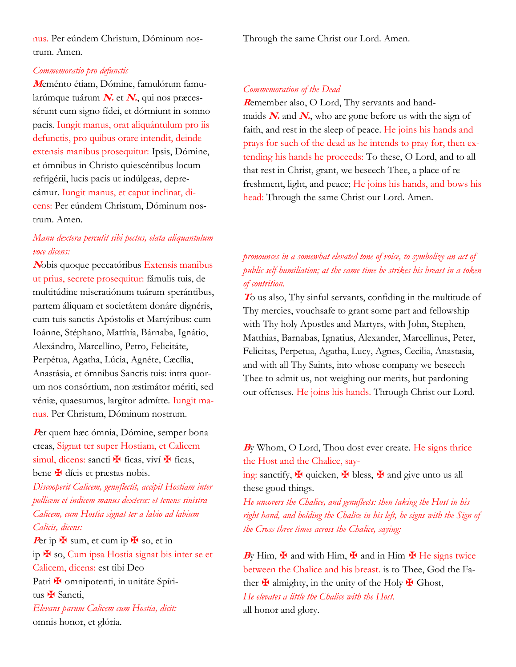nus. Per eúndem Christum, Dóminum nostrum. Amen.

### *Commemoratio pro defunctis*

**M**eménto étiam, Dómine, famulórum famularúmque tuárum **N.** et **N.**, qui nos præcessérunt cum signo fídei, et dórmiunt in somno pacis. Iungit manus, orat aliquántulum pro iis defunctis, pro quibus orare intendit, deinde extensis manibus prosequitur: Ipsis, Dómine, et ómnibus in Christo quiescéntibus locum refrigérii, lucis pacis ut indúlgeas, deprecámur. Iungit manus, et caput inclinat, dicens: Per eúndem Christum, Dóminum nostrum. Amen.

### *Manu dextera percutit sibi pectus, elata aliquantulum voce dicens:*

**<sup>N</sup>**obis quoque peccatóribus Extensis manibus ut prius, secrete prosequitur: fámulis tuis, de multitúdine miseratiónum tuárum sperántibus, partem áliquam et societátem donáre dignéris, cum tuis sanctis Apóstolis et Martýribus: cum Ioánne, Stéphano, Matthía, Bárnaba, Ignátio, Alexándro, Marcellíno, Petro, Felicitáte, Perpétua, Agatha, Lúcia, Agnéte, Cæcília, Anastásia, et ómnibus Sanctis tuis: intra quorum nos consórtium, non æstimátor mériti, sed véniæ, quaesumus, largítor admítte. Iungit manus. Per Christum, Dóminum nostrum.

**<sup>P</sup>**er quem hæc ómnia, Dómine, semper bona creas, Signat ter super Hostiam, et Calicem simul, dicens: sancti  $\mathbf{\ddot{F}}$  ficas, viví  $\mathbf{\ddot{F}}$  ficas, bene  $\mathbf \#$  dícis et præstas nobis.

*Discooperit Calicem, genuflectit, accipit Hostiam inter pollicem et indicem manus dexteræ: et tenens sinistra Calicem, cum Hostia signat ter a labio ad labium Calicis, dicens:*

Per ip  $\mathbf{\Psi}$  sum, et cum ip  $\mathbf{\Psi}$  so, et in ip ✠ so, Cum ipsa Hostia signat bis inter se et Calicem, dicens: est tibi Deo Patri **¥** omnipotenti, in unitáte Spíritus  $\mathbf{\hat{H}}$  Sancti, *Elevans parum Calicem cum Hostia, dicit:*

omnis honor, et glória.

Through the same Christ our Lord. Amen.

#### *Commemoration of the Dead*

**R**emember also, O Lord, Thy servants and handmaids  $N$  and  $N$ , who are gone before us with the sign of faith, and rest in the sleep of peace. He joins his hands and prays for such of the dead as he intends to pray for, then extending his hands he proceeds: To these, O Lord, and to all that rest in Christ, grant, we beseech Thee, a place of refreshment, light, and peace; He joins his hands, and bows his head: Through the same Christ our Lord. Amen.

## *pronounces in a somewhat elevated tone of voice, to symbolize an act of public self-humiliation; at the same time he strikes his breast in a token of contrition.*

**<sup>T</sup>**o us also, Thy sinful servants, confiding in the multitude of Thy mercies, vouchsafe to grant some part and fellowship with Thy holy Apostles and Martyrs, with John, Stephen, Matthias, Barnabas, Ignatius, Alexander, Marcellinus, Peter, Felicitas, Perpetua, Agatha, Lucy, Agnes, Cecilia, Anastasia, and with all Thy Saints, into whose company we beseech Thee to admit us, not weighing our merits, but pardoning our offenses. He joins his hands. Through Christ our Lord.

### **<sup>B</sup>**y Whom, O Lord, Thou dost ever create. He signs thrice the Host and the Chalice, say-

ing: sanctify,  $\mathbf{\ddot{H}}$  quicken,  $\mathbf{\ddot{H}}$  bless,  $\mathbf{\ddot{H}}$  and give unto us all these good things.

*He uncovers the Chalice, and genuflects: then taking the Host in his right hand, and holding the Chalice in his left, he signs with the Sign of the Cross three times across the Chalice, saying:*

By Him,  $\mathbf{\Psi}$  and with Him,  $\mathbf{\Psi}$  and in Him  $\mathbf{\Psi}$  He signs twice between the Chalice and his breast. is to Thee, God the Father  $\mathbf{\Psi}$  almighty, in the unity of the Holy  $\mathbf{\Psi}$  Ghost, *He elevates a little the Chalice with the Host.* all honor and glory.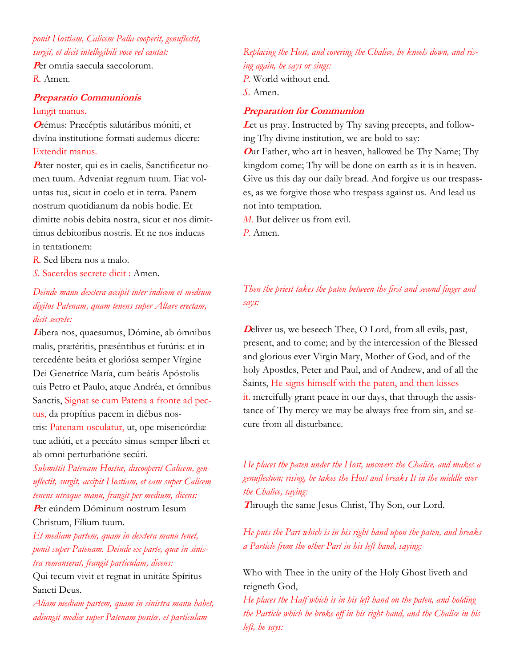## *ponit Hostiam, Calicem Palla cooperit, genuflectit, surgit, et dicit intellegibili voce vel cantat:*

**<sup>P</sup>**er omnia saecula saecolorum. *R.* Amen.

### **Preparatio Communionis** Iungit manus.

**<sup>O</sup>**rémus: Præcéptis salutáribus móniti, et divína institutione formati audemus dicere: Extendit manus.

Pater noster, qui es in caelis, Sanctificetur nomen tuum. Adveniat regnum tuum. Fiat voluntas tua, sicut in coelo et in terra. Panem nostrum quotidianum da nobis hodie. Et dimitte nobis debita nostra, sicut et nos dimittimus debitoribus nostris. Et ne nos inducas in tentationem:

- *R.* Sed libera nos a malo.
- *S.* Sacerdos secrete dicit : Amen.

## *Deinde manu dextera accipit inter indicem et medium digitos Patenam, quam tenens super Altare erectam, dicit secrete:*

**<sup>L</sup>**íbera nos, quaesumus, Dómine, ab ómnibus malis, prætéritis, præséntibus et futúris: et intercedénte beáta et gloriósa semper Vírgine Dei Genetríce María, cum beátis Apóstolis tuis Petro et Paulo, atque Andréa, et ómnibus Sanctis, Signat se cum Patena a fronte ad pectus, da propítius pacem in diébus nostris: Patenam osculatur, ut, ope misericórdiæ tuæ adiúti, et a peccáto simus semper líberi et ab omni perturbatióne secúri.

*Submittit Patenam Hostiæ, discooperit Calicem, genuflectit, surgit, accipit Hostiam, et eam super Calicem tenens utraque manu, frangit per medium, dicens:* **<sup>P</sup>**er eúndem Dóminum nostrum Iesum

Christum, Fílium tuum.

*Et mediam partem, quam in dextera manu tenet, ponit super Patenam. Deinde ex parte, quæ in sinistra remanserat, frangit particulam, dicens:*

Qui tecum vivit et regnat in unitáte Spíritus Sancti Deus.

*Aliam mediam partem, quam in sinistra manu habet, adiungit mediæ super Patenam positæ, et particulam* 

### *Replacing the Host, and covering the Chalice, he kneels down, and rising again, he says or sings: P.* World without end.

*S.* Amen.

### **Preparation for Communion**

Let us pray. Instructed by Thy saving precepts, and following Thy divine institution, we are bold to say: **<sup>O</sup>**ur Father, who art in heaven, hallowed be Thy Name; Thy kingdom come; Thy will be done on earth as it is in heaven. Give us this day our daily bread. And forgive us our trespasses, as we forgive those who trespass against us. And lead us not into temptation.

*M.* But deliver us from evil.

*P.* Amen.

## *Then the priest takes the paten between the first and second finger and says:*

**D**eliver us, we beseech Thee, O Lord, from all evils, past, present, and to come; and by the intercession of the Blessed and glorious ever Virgin Mary, Mother of God, and of the holy Apostles, Peter and Paul, and of Andrew, and of all the Saints, He signs himself with the paten, and then kisses it. mercifully grant peace in our days, that through the assistance of Thy mercy we may be always free from sin, and secure from all disturbance.

*He places the paten under the Host, uncovers the Chalice, and makes a genuflection; rising, he takes the Host and breaks It in the middle over the Chalice, saying:*

**Through the same Jesus Christ, Thy Son, our Lord.** 

*He puts the Part which is in his right hand upon the paten, and breaks a Particle from the other Part in his left hand, saying:*

Who with Thee in the unity of the Holy Ghost liveth and reigneth God,

*He places the Half which is in his left hand on the paten, and holding the Particle which he broke off in his right hand, and the Chalice in his left, he says:*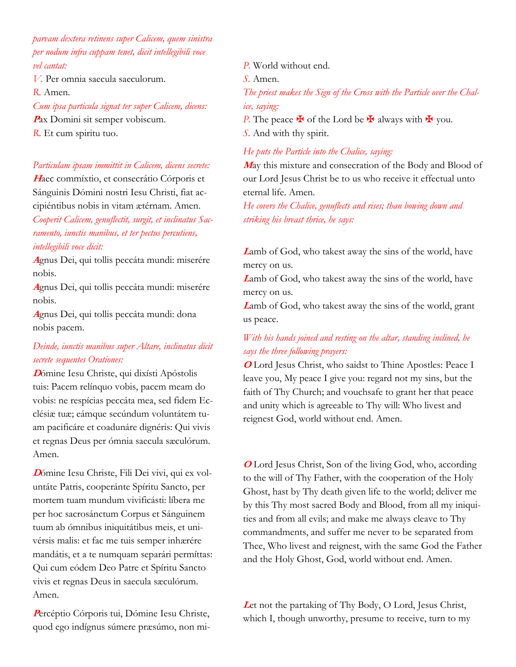*parvam dextera retinens super Calicem, quem sinistra per nodum infra cuppam tenet, dicit intellegibili voce vel cantat:*

*V.* Per omnia saecula saeculorum.

*R.* Amen.

*Cum ipsa particula signat ter super Calicem, dicens:* **<sup>P</sup>**ax Domini sit semper vobiscum. *R.* Et cum spiritu tuo.

### *Particulam ipsam immittit in Calicem, dicens secrete:*

**<sup>H</sup>**aec commíxtio, et consecrátio Córporis et Sánguinis Dómini nostri Iesu Christi, fiat accipiéntibus nobis in vitam ætérnam. Amen. *Cooperit Calicem, genuflectit, surgit, et inclinatus Sacramento, iunctis manibus, et ter pectus percutiens, intellegibili voce dicit:*

**<sup>A</sup>**gnus Dei, qui tollis peccáta mundi: miserére nobis.

**<sup>A</sup>**gnus Dei, qui tollis peccáta mundi: miserére nobis.

**<sup>A</sup>**gnus Dei, qui tollis peccáta mundi: dona nobis pacem.

## *Deinde, iunctis manibus super Altare, inclinatus dicit secrete sequentes Orationes:*

**<sup>D</sup>**ómine Iesu Christe, qui dixísti Apóstolis tuis: Pacem relínquo vobis, pacem meam do vobis: ne respícias peccáta mea, sed fidem Ecclésiæ tuæ; eámque secúndum voluntátem tuam pacificáre et coadunáre dignéris: Qui vivis et regnas Deus per ómnia saecula sæculórum. Amen.

**D**ómine Iesu Christe, Fili Dei vivi, qui ex voluntáte Patris, cooperánte Spíritu Sancto, per mortem tuam mundum vivificásti: líbera me per hoc sacrosánctum Corpus et Sánguinem tuum ab ómnibus iniquitátibus meis, et univérsis malis: et fac me tuis semper inhærére mandátis, et a te numquam separári permíttas: Qui cum eódem Deo Patre et Spíritu Sancto vivis et regnas Deus in saecula sæculórum. Amen.

**<sup>P</sup>**ercéptio Córporis tui, Dómine Iesu Christe, quod ego indígnus súmere præsúmo, non mi*P.* World without end. *S.* Amen. *The priest makes the Sign of the Cross with the Particle over the Chalice, saying: P*. The peace  $\mathbf{\Psi}$  of the Lord be  $\mathbf{\Psi}$  always with  $\mathbf{\Psi}$  you. *S.* And with thy spirit.

*He puts the Particle into the Chalice, saying:*

**<sup>M</sup>**ay this mixture and consecration of the Body and Blood of our Lord Jesus Christ be to us who receive it effectual unto eternal life. Amen.

*He covers the Chalice, genuflects and rises; than bowing down and striking his breast thrice, he says:*

**<sup>L</sup>**amb of God, who takest away the sins of the world, have mercy on us.

**<sup>L</sup>**amb of God, who takest away the sins of the world, have mercy on us.

**<sup>L</sup>**amb of God, who takest away the sins of the world, grant us peace.

## *With his hands joined and resting on the altar, standing inclined, he says the three following prayers:*

**<sup>O</sup>** Lord Jesus Christ, who saidst to Thine Apostles: Peace I leave you, My peace I give you: regard not my sins, but the faith of Thy Church; and vouchsafe to grant her that peace and unity which is agreeable to Thy will: Who livest and reignest God, world without end. Amen.

**O** Lord Jesus Christ, Son of the living God, who, according to the will of Thy Father, with the cooperation of the Holy Ghost, hast by Thy death given life to the world; deliver me by this Thy most sacred Body and Blood, from all my iniquities and from all evils; and make me always cleave to Thy commandments, and suffer me never to be separated from Thee, Who livest and reignest, with the same God the Father and the Holy Ghost, God, world without end. Amen.

**<sup>L</sup>**et not the partaking of Thy Body, O Lord, Jesus Christ, which I, though unworthy, presume to receive, turn to my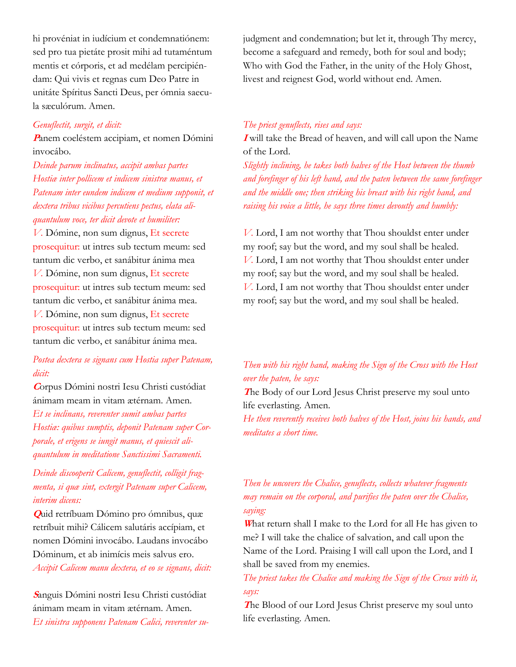hi provéniat in iudícium et condemnatiónem: sed pro tua pietáte prosit mihi ad tutaméntum mentis et córporis, et ad medélam percipiéndam: Qui vivis et regnas cum Deo Patre in unitáte Spíritus Sancti Deus, per ómnia saecula sæculórum. Amen.

#### *Genuflectit, surgit, et dicit:*

**<sup>P</sup>**anem coeléstem accipiam, et nomen Dómini invocábo.

*Deinde parum inclinatus, accipit ambas partes Hostiæ inter pollicem et indicem sinistræ manus, et Patenam inter eundem indicem et medium supponit, et dextera tribus vicibus percutiens pectus, elata aliquantulum voce, ter dicit devote et humiliter:*

*V.* Dómine, non sum dignus, Et secrete prosequitur: ut intres sub tectum meum: sed tantum dic verbo, et sanábitur ánima mea *V.* Dómine, non sum dignus, Et secrete prosequitur: ut intres sub tectum meum: sed tantum dic verbo, et sanábitur ánima mea. *V.* Dómine, non sum dignus, Et secrete prosequitur: ut intres sub tectum meum: sed tantum dic verbo, et sanábitur ánima mea.

### *Postea dextera se signans cum Hostia super Patenam, dicit:*

**<sup>C</sup>**orpus Dómini nostri Iesu Christi custódiat ánimam meam in vitam ætérnam. Amen. *Et se inclinans, reverenter sumit ambas partes Hostiæ: quibus sumptis, deponit Patenam super Corporale, et erigens se iungit manus, et quiescit aliquantulum in meditatione Sanctissimi Sacramenti.*

## *Deinde discooperit Calicem, genuflectit, colligit fragmenta, si quæ sint, extergit Patenam super Calicem, interim dicens:*

**Q**uid retríbuam Dómino pro ómnibus, quæ retríbuit mihi? Cálicem salutáris accípiam, et nomen Dómini invocábo. Laudans invocábo Dóminum, et ab inimícis meis salvus ero. *Accipit Calicem manu dextera, et eo se signans, dicit:*

**<sup>S</sup>**anguis Dómini nostri Iesu Christi custódiat ánimam meam in vitam ætérnam. Amen. *Et sinistra supponens Patenam Calici, reverenter su-* judgment and condemnation; but let it, through Thy mercy, become a safeguard and remedy, both for soul and body; Who with God the Father, in the unity of the Holy Ghost, livest and reignest God, world without end. Amen.

#### *The priest genuflects, rises and says:*

**I** will take the Bread of heaven, and will call upon the Name of the Lord.

*Slightly inclining, he takes both halves of the Host between the thumb and forefinger of his left hand, and the paten between the same forefinger and the middle one; then striking his breast with his right hand, and raising his voice a little, he says three times devoutly and humbly:*

*V.* Lord, I am not worthy that Thou shouldst enter under my roof; say but the word, and my soul shall be healed. *V.* Lord, I am not worthy that Thou shouldst enter under my roof; say but the word, and my soul shall be healed. *V.* Lord, I am not worthy that Thou shouldst enter under my roof; say but the word, and my soul shall be healed.

### *Then with his right hand, making the Sign of the Cross with the Host over the paten, he says:*

**<sup>T</sup>**he Body of our Lord Jesus Christ preserve my soul unto life everlasting. Amen.

*He then reverently receives both halves of the Host, joins his hands, and meditates a short time.*

## *Then he uncovers the Chalice, genuflects, collects whatever fragments may remain on the corporal, and purifies the paten over the Chalice, saying:*

**<sup>W</sup>**hat return shall I make to the Lord for all He has given to me? I will take the chalice of salvation, and call upon the Name of the Lord. Praising I will call upon the Lord, and I shall be saved from my enemies.

### *The priest takes the Chalice and making the Sign of the Cross with it, says:*

**<sup>T</sup>**he Blood of our Lord Jesus Christ preserve my soul unto life everlasting. Amen.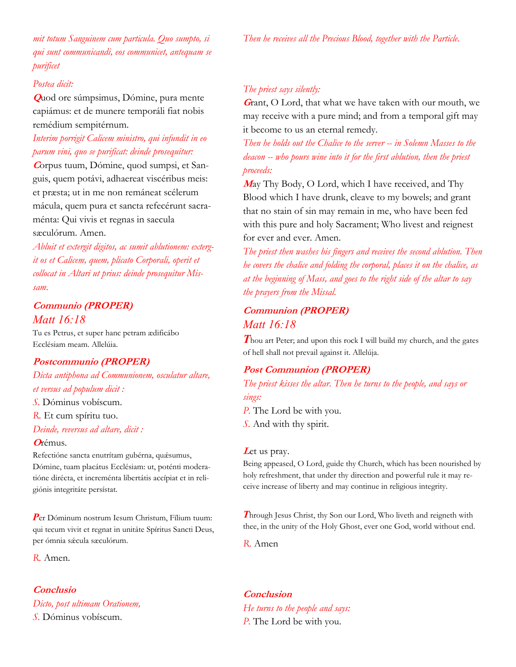*mit totum Sanguinem cum particula. Quo sumpto, si qui sunt communicandi, eos communicet, antequam se purificet*

#### *Postea dicit:*

**Q**uod ore súmpsimus, Dómine, pura mente capiámus: et de munere temporáli fiat nobis remédium sempitérnum.

## *Interim porrigit Calicem ministro, qui infundit in eo parum vini, quo se purificat: deinde prosequitur:*

**C**orpus tuum, Dómine, quod sumpsi, et Sanguis, quem potávi, adhaereat viscéribus meis: et præsta; ut in me non remáneat scélerum mácula, quem pura et sancta refecérunt sacraménta: Qui vivis et regnas in saecula

### sæculórum. Amen.

*Abluit et extergit digitos, ac sumit ablutionem: extergit os et Calicem, quem, plicato Corporali, operit et collocat in Altari ut prius: deinde prosequitur Missam.*

## **Communio (PROPER)** *Matt 16:18*

Tu es Petrus, et super hanc petram ædificábo Ecclésiam meam. Allelúia.

### **Postcommunio (PROPER)**

*Dicta antiphona ad Communionem, osculatur altare, et versus ad populum dicit :*

### *S.* Dóminus vobíscum.

*R.* Et cum spíritu tuo.

#### *Deinde, reversus ad altare, dicit :*

#### **<sup>O</sup>**rémus.

Refectióne sancta enutrítam gubérna, quésumus, Dómine, tuam placátus Ecclésiam: ut, poténti moderatióne dirécta, et increménta libertátis accípiat et in religiónis integritáte persístat.

*P*er Dóminum nostrum Iesum Christum, Fílium tuum: qui tecum vivit et regnat in unitáte Spíritus Sancti Deus, per ómnia sǽcula sæculórum.

*R.* Amen.

### **Conclusio** *Dicto, post ultimam Orationem, S.* Dóminus vobíscum.

#### *The priest says silently:*

**<sup>G</sup>**rant, O Lord, that what we have taken with our mouth, we may receive with a pure mind; and from a temporal gift may it become to us an eternal remedy.

*Then he holds out the Chalice to the server -- in Solemn Masses to the deacon -- who pours wine into it for the first ablution, then the priest proceeds:*

**<sup>M</sup>**ay Thy Body, O Lord, which I have received, and Thy Blood which I have drunk, cleave to my bowels; and grant that no stain of sin may remain in me, who have been fed with this pure and holy Sacrament; Who livest and reignest for ever and ever. Amen.

*The priest then washes his fingers and receives the second ablution. Then he covers the chalice and folding the corporal, places it on the chalice, as at the beginning of Mass, and goes to the right side of the altar to say the prayers from the Missal.*

### **Communion (PROPER)** *Matt 16:18*

*Thou art Peter; and upon this rock I will build my church, and the gates* of hell shall not prevail against it. Allelúja.

### **Post Communion (PROPER)**

*The priest kisses the altar. Then he turns to the people, and says or sings:*

*P.* The Lord be with you. *S.* And with thy spirit.

#### Let us pray.

Being appeased, O Lord, guide thy Church, which has been nourished by holy refreshment, that under thy direction and powerful rule it may receive increase of liberty and may continue in religious integrity.

*T*hrough Jesus Christ, thy Son our Lord, Who liveth and reigneth with thee, in the unity of the Holy Ghost, ever one God, world without end.

*R.* Amen

**Conclusion** *He turns to the people and says: P.* The Lord be with you.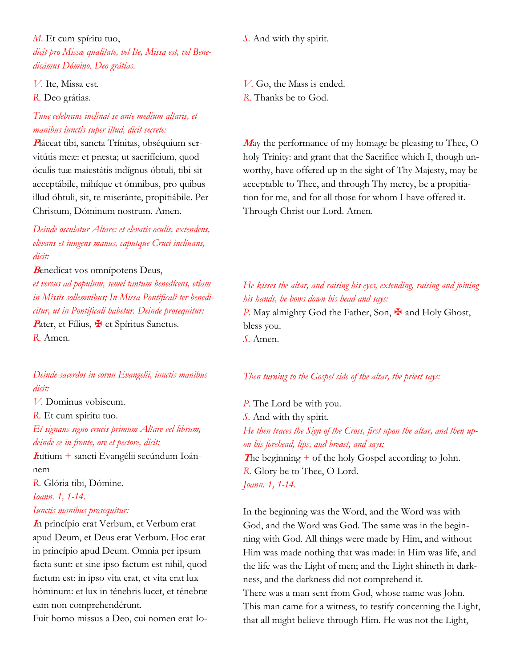*M.* Et cum spíritu tuo, *dicit pro Missæ qualitate, vel Ite, Missa est, vel Benedicámus Dómino. Deo grátias.*

*V.* Ite, Missa est. *R.* Deo grátias.

## *Tunc celebrans inclinat se ante medium altaris, et manibus iunctis super illud, dicit secrete:*

**P**láceat tibi, sancta Trínitas, obséquium servitútis meæ: et præsta; ut sacrifícium, quod óculis tuæ maiestátis indígnus óbtuli, tibi sit acceptábile, mihíque et ómnibus, pro quibus illud óbtuli, sit, te miseránte, propitiábile. Per Christum, Dóminum nostrum. Amen.

*Deinde osculatur Altare: et elevatis oculis, extendens, elevans et iungens manus, caputque Cruci inclínans, dicit:*

#### **<sup>B</sup>**enedícat vos omnípotens Deus,

*et versus ad populum, semel tantum benedícens, etiam in Missis sollemnibus; In Missa Pontificali ter benedicitur, ut in Pontificali habetur. Deinde prosequitur:* Pater, et Fílius,  $\mathbf{\Psi}$  et Spíritus Sanctus. *R.* Amen.

*Deinde sacerdos in cornu Evangelii, iunctis manibus dicit:*

*V.* Dominus vobiscum.

*R.* Et cum spiritu tuo. *Et signans signo crucis primum Altare vel librum, deinde se in fronte, ore et pectore, dicit:*

**<sup>I</sup>**nitium + sancti Evangélii secúndum Ioánnem

*R.* Glória tibi, Dómine.

*Ioann. 1, 1-14.*

#### *Iunctis manibus prosequitur:*

**<sup>I</sup>**n princípio erat Verbum, et Verbum erat apud Deum, et Deus erat Verbum. Hoc erat in princípio apud Deum. Omnia per ipsum facta sunt: et sine ipso factum est nihil, quod factum est: in ipso vita erat, et vita erat lux hóminum: et lux in ténebris lucet, et ténebræ eam non comprehendérunt.

Fuit homo missus a Deo, cui nomen erat Io-

*S.* And with thy spirit.

*V.* Go, the Mass is ended. *R.* Thanks be to God.

**<sup>M</sup>**ay the performance of my homage be pleasing to Thee, O holy Trinity: and grant that the Sacrifice which I, though unworthy, have offered up in the sight of Thy Majesty, may be acceptable to Thee, and through Thy mercy, be a propitiation for me, and for all those for whom I have offered it. Through Christ our Lord. Amen.

## *He kisses the altar, and raising his eyes, extending, raising and joining his hands, he bows down his head and says:*

*P.* May almighty God the Father, Son,  $\frac{1}{2}$  and Holy Ghost, bless you.

*S.* Amen.

#### *Then turning to the Gospel side of the altar, the priest says:*

*P.* The Lord be with you. *S.* And with thy spirit. *He then traces the Sign of the Cross, first upon the altar, and then upon his forehead, lips, and breast, and says:* **The beginning + of the holy Gospel according to John.** *R.* Glory be to Thee, O Lord. *Joann. 1, 1-14.*

In the beginning was the Word, and the Word was with God, and the Word was God. The same was in the beginning with God. All things were made by Him, and without Him was made nothing that was made: in Him was life, and the life was the Light of men; and the Light shineth in darkness, and the darkness did not comprehend it. There was a man sent from God, whose name was John. This man came for a witness, to testify concerning the Light, that all might believe through Him. He was not the Light,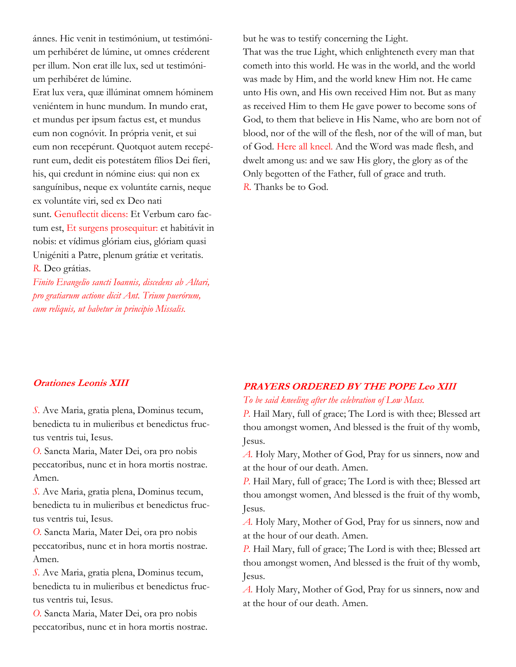ánnes. Hic venit in testimónium, ut testimónium perhibéret de lúmine, ut omnes créderent per illum. Non erat ille lux, sed ut testimónium perhibéret de lúmine.

Erat lux vera, quæ illúminat omnem hóminem veniéntem in hunc mundum. In mundo erat, et mundus per ipsum factus est, et mundus eum non cognóvit. In própria venit, et sui eum non recepérunt. Quotquot autem recepérunt eum, dedit eis potestátem fílios Dei fíeri, his, qui credunt in nómine eius: qui non ex sanguínibus, neque ex voluntáte carnis, neque ex voluntáte viri, sed ex Deo nati sunt. Genuflectit dicens: Et Verbum caro factum est, Et surgens prosequitur: et habitávit in nobis: et vídimus glóriam eius, glóriam quasi Unigéniti a Patre, plenum grátiæ et veritatis. *R.* Deo grátias.

*Finito Evangelio sancti Ioannis, discedens ab Altari, pro gratiarum actione dicit Ant. Trium puerórum, cum reliquis, ut habetur in principio Missalis.*

but he was to testify concerning the Light.

That was the true Light, which enlighteneth every man that cometh into this world. He was in the world, and the world was made by Him, and the world knew Him not. He came unto His own, and His own received Him not. But as many as received Him to them He gave power to become sons of God, to them that believe in His Name, who are born not of blood, nor of the will of the flesh, nor of the will of man, but of God. Here all kneel. And the Word was made flesh, and dwelt among us: and we saw His glory, the glory as of the Only begotten of the Father, full of grace and truth. *R.* Thanks be to God.

### **Orationes Leonis XIII**

*S.* Ave Maria, gratia plena, Dominus tecum, benedicta tu in mulieribus et benedictus fructus ventris tui, Iesus.

*O.* Sancta Maria, Mater Dei, ora pro nobis peccatoribus, nunc et in hora mortis nostrae. Amen.

*S.* Ave Maria, gratia plena, Dominus tecum, benedicta tu in mulieribus et benedictus fructus ventris tui, Iesus.

*O.* Sancta Maria, Mater Dei, ora pro nobis peccatoribus, nunc et in hora mortis nostrae. Amen.

*S.* Ave Maria, gratia plena, Dominus tecum, benedicta tu in mulieribus et benedictus fructus ventris tui, Iesus.

*O.* Sancta Maria, Mater Dei, ora pro nobis peccatoribus, nunc et in hora mortis nostrae.

## **PRAYERS ORDERED BY THE POPE Leo XIII**

### *To be said kneeling after the celebration of Low Mass.*

*P.* Hail Mary, full of grace; The Lord is with thee; Blessed art thou amongst women, And blessed is the fruit of thy womb, Jesus.

*A.* Holy Mary, Mother of God, Pray for us sinners, now and at the hour of our death. Amen.

*P.* Hail Mary, full of grace; The Lord is with thee; Blessed art thou amongst women, And blessed is the fruit of thy womb, Jesus.

*A.* Holy Mary, Mother of God, Pray for us sinners, now and at the hour of our death. Amen.

*P.* Hail Mary, full of grace; The Lord is with thee; Blessed art thou amongst women, And blessed is the fruit of thy womb, Jesus.

*A.* Holy Mary, Mother of God, Pray for us sinners, now and at the hour of our death. Amen.